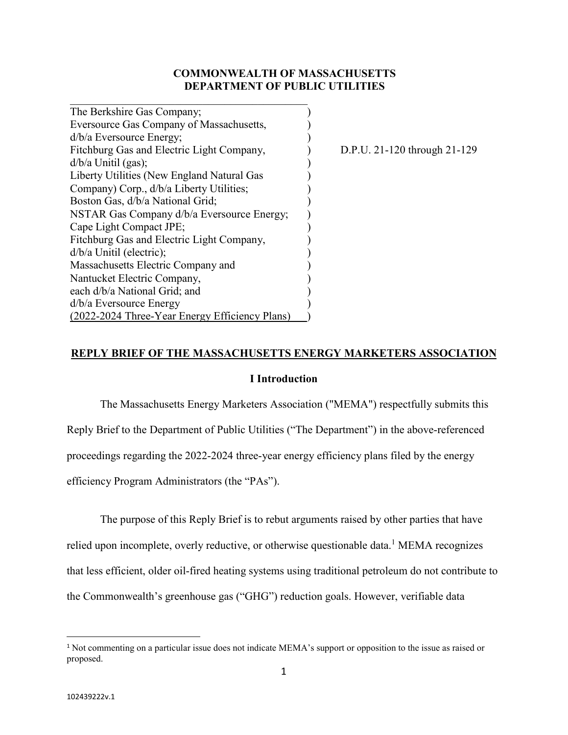## **COMMONWEALTH OF MASSACHUSETTS DEPARTMENT OF PUBLIC UTILITIES**

| The Berkshire Gas Company;                     |  |
|------------------------------------------------|--|
| Eversource Gas Company of Massachusetts,       |  |
| $d/b/a$ Eversource Energy;                     |  |
| Fitchburg Gas and Electric Light Company,      |  |
| $d/b/a$ Unitil (gas);                          |  |
| Liberty Utilities (New England Natural Gas     |  |
| Company) Corp., d/b/a Liberty Utilities;       |  |
| Boston Gas, d/b/a National Grid;               |  |
| NSTAR Gas Company d/b/a Eversource Energy;     |  |
| Cape Light Compact JPE;                        |  |
| Fitchburg Gas and Electric Light Company,      |  |
| d/b/a Unitil (electric);                       |  |
| Massachusetts Electric Company and             |  |
| Nantucket Electric Company,                    |  |
| each d/b/a National Grid; and                  |  |
| $d/b/a$ Eversource Energy                      |  |
| (2022-2024 Three-Year Energy Efficiency Plans) |  |

 $D.P.U. 21-120$  through  $21-129$ 

### **REPLY BRIEF OF THE MASSACHUSETTS ENERGY MARKETERS ASSOCIATION**

### **I Introduction**

The Massachusetts Energy Marketers Association ("MEMA") respectfully submits this Reply Brief to the Department of Public Utilities ("The Department") in the above-referenced proceedings regarding the 2022-2024 three-year energy efficiency plans filed by the energy efficiency Program Administrators (the "PAs").

The purpose of this Reply Brief is to rebut arguments raised by other parties that have relied upon incomplete, overly reductive, or otherwise questionable data.<sup>1</sup> MEMA recognizes that less efficient, older oil-fired heating systems using traditional petroleum do not contribute to the Commonwealth's greenhouse gas ("GHG") reduction goals. However, verifiable data

<sup>1</sup> Not commenting on a particular issue does not indicate MEMA's support or opposition to the issue as raised or proposed.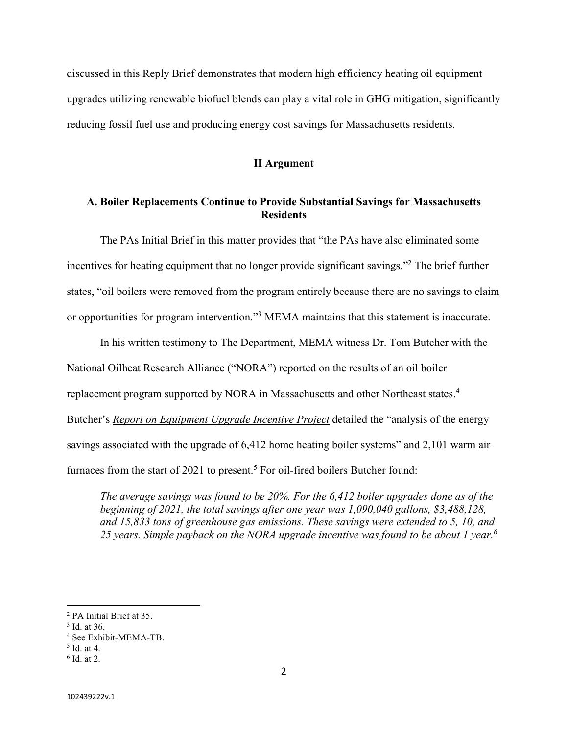discussed in this Reply Brief demonstrates that modern high efficiency heating oil equipment upgrades utilizing renewable biofuel blends can play a vital role in GHG mitigation, significantly reducing fossil fuel use and producing energy cost savings for Massachusetts residents.

### **II Argument**

## **A. Boiler Replacements Continue to Provide Substantial Savings for Massachusetts Residents**

The PAs Initial Brief in this matter provides that "the PAs have also eliminated some incentives for heating equipment that no longer provide significant savings."<sup>2</sup> The brief further states, "oil boilers were removed from the program entirely because there are no savings to claim or opportunities for program intervention."<sup>3</sup> MEMA maintains that this statement is inaccurate.

In his written testimony to The Department, MEMA witness Dr. Tom Butcher with the National Oilheat Research Alliance ("NORA") reported on the results of an oil boiler replacement program supported by NORA in Massachusetts and other Northeast states.<sup>4</sup> Butcher's *Report on Equipment Upgrade Incentive Project* detailed the "analysis of the energy savings associated with the upgrade of 6,412 home heating boiler systems" and 2,101 warm air furnaces from the start of 2021 to present.<sup>5</sup> For oil-fired boilers Butcher found:

*The average savings was found to be 20%. For the 6,412 boiler upgrades done as of the beginning of 2021, the total savings after one year was 1,090,040 gallons, \$3,488,128, and 15,833 tons of greenhouse gas emissions. These savings were extended to 5, 10, and 25 years. Simple payback on the NORA upgrade incentive was found to be about 1 year.<sup>6</sup>*

<sup>2</sup> PA Initial Brief at 35.

<sup>3</sup> Id. at 36.

<sup>4</sup> See Exhibit-MEMA-TB.

<sup>5</sup> Id. at 4.

<sup>6</sup> Id. at 2.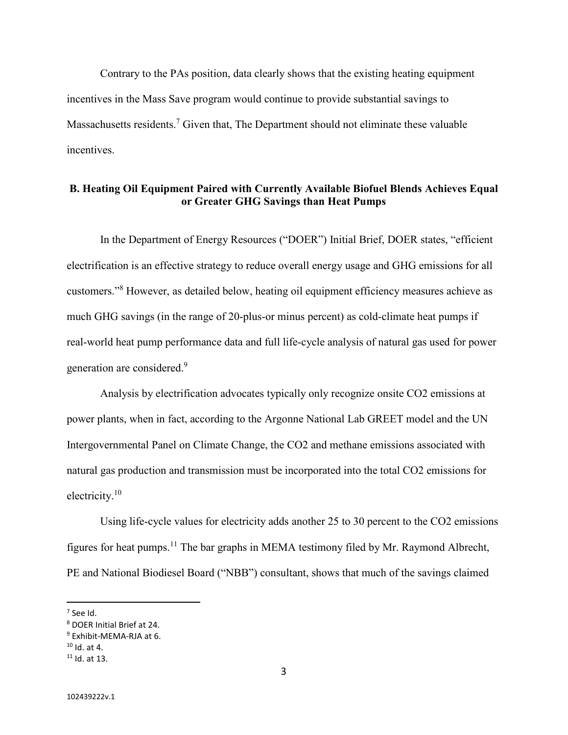Contrary to the PAs position, data clearly shows that the existing heating equipment incentives in the Mass Save program would continue to provide substantial savings to Massachusetts residents.<sup>7</sup> Given that, The Department should not eliminate these valuable incentives.

# **B. Heating Oil Equipment Paired with Currently Available Biofuel Blends Achieves Equal or Greater GHG Savings than Heat Pumps**

In the Department of Energy Resources ("DOER") Initial Brief, DOER states, "efficient electrification is an effective strategy to reduce overall energy usage and GHG emissions for all customers."<sup>8</sup> However, as detailed below, heating oil equipment efficiency measures achieve as much GHG savings (in the range of 20-plus-or minus percent) as cold-climate heat pumps if real-world heat pump performance data and full life-cycle analysis of natural gas used for power generation are considered.<sup>9</sup>

Analysis by electrification advocates typically only recognize onsite CO2 emissions at power plants, when in fact, according to the Argonne National Lab GREET model and the UN Intergovernmental Panel on Climate Change, the CO2 and methane emissions associated with natural gas production and transmission must be incorporated into the total CO2 emissions for electricity. $10$ 

Using life-cycle values for electricity adds another 25 to 30 percent to the CO2 emissions figures for heat pumps.<sup>11</sup> The bar graphs in MEMA testimony filed by Mr. Raymond Albrecht, PE and National Biodiesel Board ("NBB") consultant, shows that much of the savings claimed

<sup>7</sup> See Id.

<sup>8</sup> DOER Initial Brief at 24.

<sup>9</sup> Exhibit-MEMA-RJA at 6.

 $10$  Id. at 4.

 $11$  Id. at 13.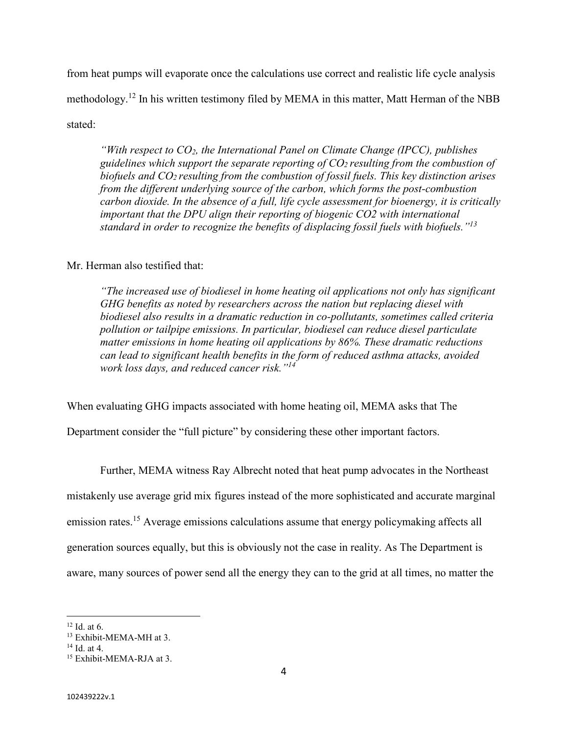from heat pumps will evaporate once the calculations use correct and realistic life cycle analysis methodology.<sup>12</sup> In his written testimony filed by MEMA in this matter, Matt Herman of the NBB stated:

*"With respect to CO2, the International Panel on Climate Change (IPCC), publishes guidelines which support the separate reporting of CO2 resulting from the combustion of biofuels and CO2 resulting from the combustion of fossil fuels. This key distinction arises from the different underlying source of the carbon, which forms the post-combustion carbon dioxide. In the absence of a full, life cycle assessment for bioenergy, it is critically important that the DPU align their reporting of biogenic CO2 with international standard in order to recognize the benefits of displacing fossil fuels with biofuels."<sup>13</sup>*

## Mr. Herman also testified that:

*"The increased use of biodiesel in home heating oil applications not only has significant GHG benefits as noted by researchers across the nation but replacing diesel with biodiesel also results in a dramatic reduction in co-pollutants, sometimes called criteria pollution or tailpipe emissions. In particular, biodiesel can reduce diesel particulate matter emissions in home heating oil applications by 86%. These dramatic reductions can lead to significant health benefits in the form of reduced asthma attacks, avoided work loss days, and reduced cancer risk."<sup>14</sup>*

When evaluating GHG impacts associated with home heating oil, MEMA asks that The

Department consider the "full picture" by considering these other important factors.

Further, MEMA witness Ray Albrecht noted that heat pump advocates in the Northeast mistakenly use average grid mix figures instead of the more sophisticated and accurate marginal emission rates.<sup>15</sup> Average emissions calculations assume that energy policymaking affects all generation sources equally, but this is obviously not the case in reality. As The Department is aware, many sources of power send all the energy they can to the grid at all times, no matter the

 $12$  Id. at 6.

<sup>13</sup> Exhibit-MEMA-MH at 3.

<sup>14</sup> Id. at 4.

<sup>15</sup> Exhibit-MEMA-RJA at 3.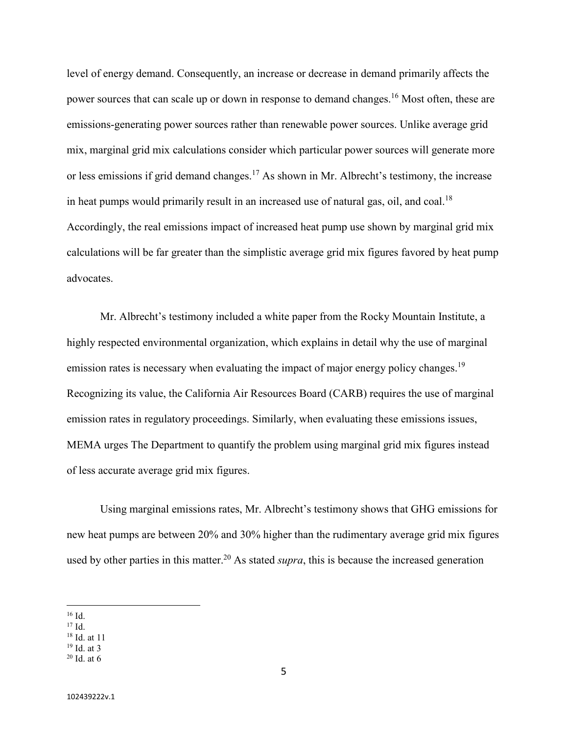level of energy demand. Consequently, an increase or decrease in demand primarily affects the power sources that can scale up or down in response to demand changes.<sup>16</sup> Most often, these are emissions-generating power sources rather than renewable power sources. Unlike average grid mix, marginal grid mix calculations consider which particular power sources will generate more or less emissions if grid demand changes.<sup>17</sup> As shown in Mr. Albrecht's testimony, the increase in heat pumps would primarily result in an increased use of natural gas, oil, and coal.<sup>18</sup> Accordingly, the real emissions impact of increased heat pump use shown by marginal grid mix calculations will be far greater than the simplistic average grid mix figures favored by heat pump advocates.

Mr. Albrecht's testimony included a white paper from the Rocky Mountain Institute, a highly respected environmental organization, which explains in detail why the use of marginal emission rates is necessary when evaluating the impact of major energy policy changes.<sup>19</sup> Recognizing its value, the California Air Resources Board (CARB) requires the use of marginal emission rates in regulatory proceedings. Similarly, when evaluating these emissions issues, MEMA urges The Department to quantify the problem using marginal grid mix figures instead of less accurate average grid mix figures.

Using marginal emissions rates, Mr. Albrecht's testimony shows that GHG emissions for new heat pumps are between 20% and 30% higher than the rudimentary average grid mix figures used by other parties in this matter.<sup>20</sup> As stated *supra*, this is because the increased generation

- <sup>17</sup> Id.
- <sup>18</sup> Id. at 11

 $^{16}$  Id.

<sup>19</sup> Id. at 3  $20$  Id. at 6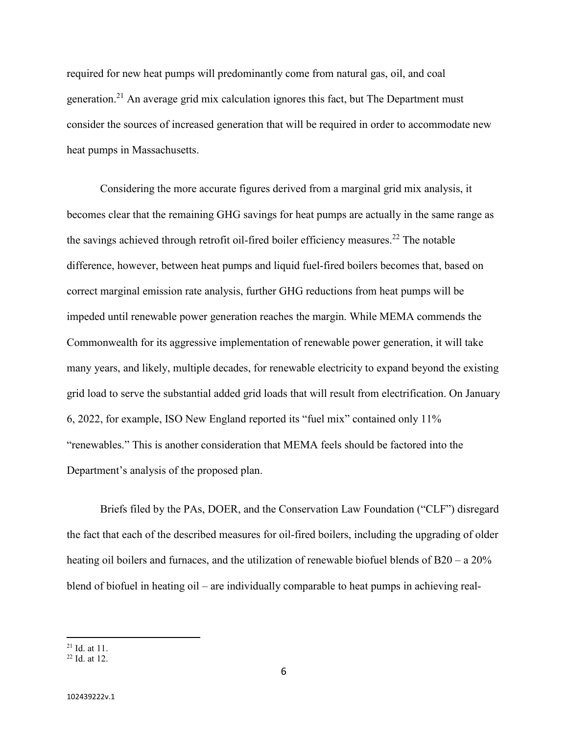required for new heat pumps will predominantly come from natural gas, oil, and coal generation.<sup>21</sup> An average grid mix calculation ignores this fact, but The Department must consider the sources of increased generation that will be required in order to accommodate new heat pumps in Massachusetts.

 Considering the more accurate figures derived from a marginal grid mix analysis, it becomes clear that the remaining GHG savings for heat pumps are actually in the same range as the savings achieved through retrofit oil-fired boiler efficiency measures.<sup>22</sup> The notable difference, however, between heat pumps and liquid fuel-fired boilers becomes that, based on correct marginal emission rate analysis, further GHG reductions from heat pumps will be impeded until renewable power generation reaches the margin. While MEMA commends the Commonwealth for its aggressive implementation of renewable power generation, it will take many years, and likely, multiple decades, for renewable electricity to expand beyond the existing grid load to serve the substantial added grid loads that will result from electrification. On January 6, 2022, for example, ISO New England reported its "fuel mix" contained only 11% "renewables." This is another consideration that MEMA feels should be factored into the Department's analysis of the proposed plan.

Briefs filed by the PAs, DOER, and the Conservation Law Foundation ("CLF") disregard the fact that each of the described measures for oil-fired boilers, including the upgrading of older heating oil boilers and furnaces, and the utilization of renewable biofuel blends of B20 – a 20% blend of biofuel in heating oil – are individually comparable to heat pumps in achieving real-

<sup>21</sup> Id. at 11.

<sup>22</sup> Id. at 12.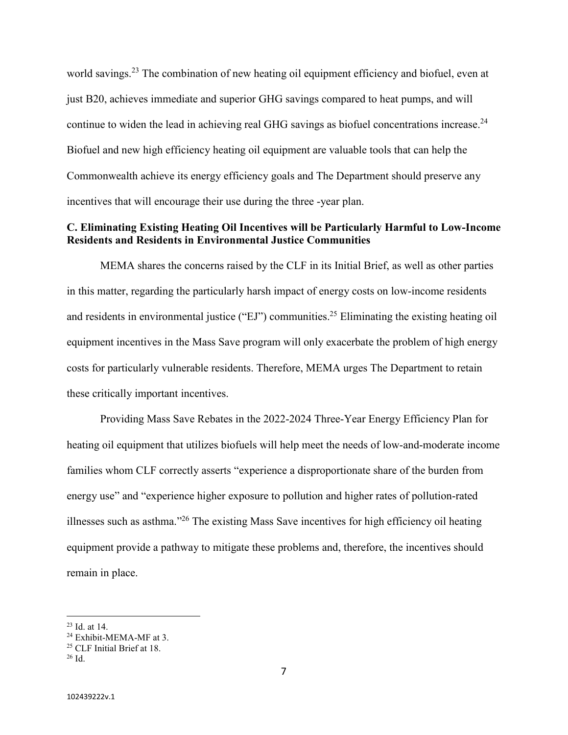world savings.<sup>23</sup> The combination of new heating oil equipment efficiency and biofuel, even at just B20, achieves immediate and superior GHG savings compared to heat pumps, and will continue to widen the lead in achieving real GHG savings as biofuel concentrations increase.<sup>24</sup> Biofuel and new high efficiency heating oil equipment are valuable tools that can help the Commonwealth achieve its energy efficiency goals and The Department should preserve any incentives that will encourage their use during the three -year plan.

# **C. Eliminating Existing Heating Oil Incentives will be Particularly Harmful to Low-Income Residents and Residents in Environmental Justice Communities**

MEMA shares the concerns raised by the CLF in its Initial Brief, as well as other parties in this matter, regarding the particularly harsh impact of energy costs on low-income residents and residents in environmental justice ("EJ") communities.<sup>25</sup> Eliminating the existing heating oil equipment incentives in the Mass Save program will only exacerbate the problem of high energy costs for particularly vulnerable residents. Therefore, MEMA urges The Department to retain these critically important incentives.

Providing Mass Save Rebates in the 2022-2024 Three-Year Energy Efficiency Plan for heating oil equipment that utilizes biofuels will help meet the needs of low-and-moderate income families whom CLF correctly asserts "experience a disproportionate share of the burden from energy use" and "experience higher exposure to pollution and higher rates of pollution-rated illnesses such as asthma."<sup>26</sup> The existing Mass Save incentives for high efficiency oil heating equipment provide a pathway to mitigate these problems and, therefore, the incentives should remain in place.

<sup>23</sup> Id. at 14.

<sup>&</sup>lt;sup>24</sup> Exhibit-MEMA-MF at 3.

<sup>25</sup> CLF Initial Brief at 18.

<sup>26</sup> Id.